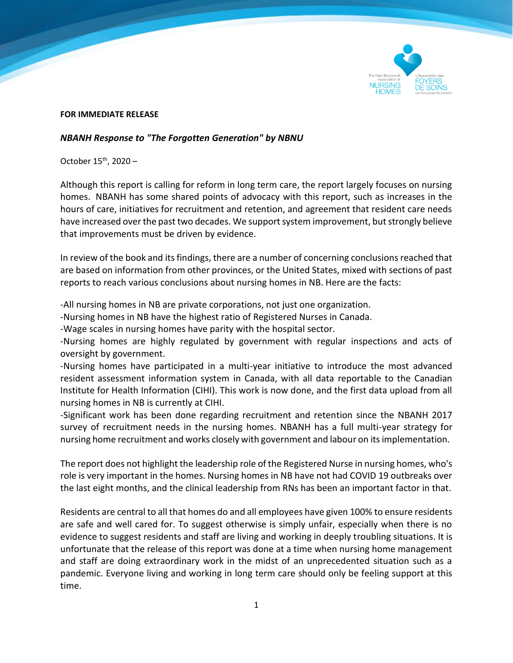

## **FOR IMMEDIATE RELEASE**

## *NBANH Response to "The Forgotten Generation" by NBNU*

October 15<sup>th</sup>, 2020 –

Although this report is calling for reform in long term care, the report largely focuses on nursing homes. NBANH has some shared points of advocacy with this report, such as increases in the hours of care, initiatives for recruitment and retention, and agreement that resident care needs have increased over the past two decades. We support system improvement, but strongly believe that improvements must be driven by evidence.

In review of the book and its findings, there are a number of concerning conclusions reached that are based on information from other provinces, or the United States, mixed with sections of past reports to reach various conclusions about nursing homes in NB. Here are the facts:

-All nursing homes in NB are private corporations, not just one organization.

-Nursing homes in NB have the highest ratio of Registered Nurses in Canada.

-Wage scales in nursing homes have parity with the hospital sector.

-Nursing homes are highly regulated by government with regular inspections and acts of oversight by government.

-Nursing homes have participated in a multi-year initiative to introduce the most advanced resident assessment information system in Canada, with all data reportable to the Canadian Institute for Health Information (CIHI). This work is now done, and the first data upload from all nursing homes in NB is currently at CIHI.

-Significant work has been done regarding recruitment and retention since the NBANH 2017 survey of recruitment needs in the nursing homes. NBANH has a full multi-year strategy for nursing home recruitment and works closely with government and labour on its implementation.

The report does not highlight the leadership role of the Registered Nurse in nursing homes, who's role is very important in the homes. Nursing homes in NB have not had COVID 19 outbreaks over the last eight months, and the clinical leadership from RNs has been an important factor in that.

Residents are central to all that homes do and all employees have given 100% to ensure residents are safe and well cared for. To suggest otherwise is simply unfair, especially when there is no evidence to suggest residents and staff are living and working in deeply troubling situations. It is unfortunate that the release of this report was done at a time when nursing home management and staff are doing extraordinary work in the midst of an unprecedented situation such as a pandemic. Everyone living and working in long term care should only be feeling support at this time.